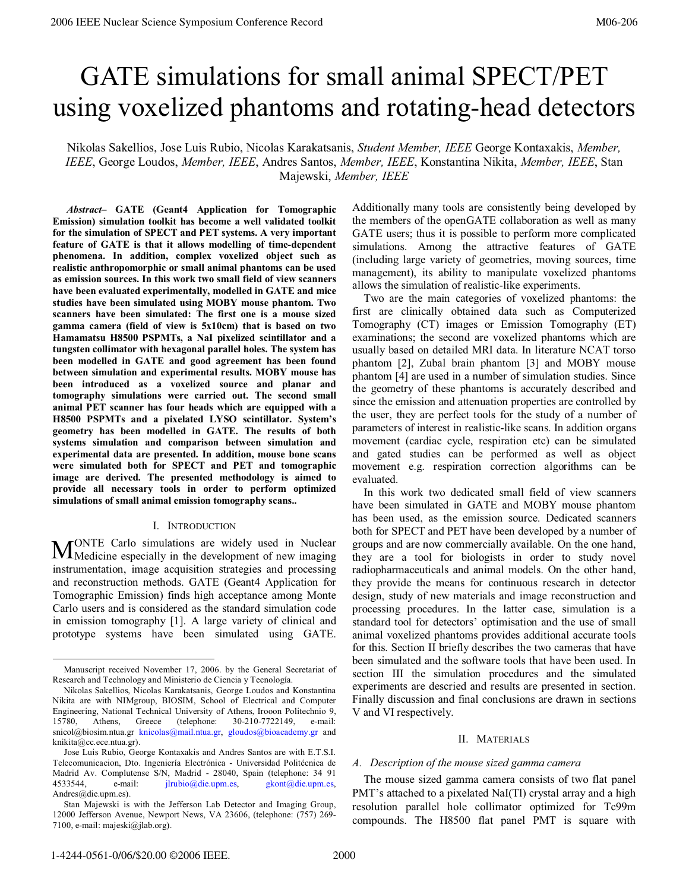# GATE simulations for small animal SPECT/PET using voxelized phantoms and rotating-head detectors

Nikolas Sakellios, Jose Luis Rubio, Nicolas Karakatsanis, *Student Member, IEEE* George Kontaxakis, *Member, IEEE*, George Loudos, *Member, IEEE*, Andres Santos, *Member, IEEE*, Konstantina Nikita, *Member, IEEE*, Stan Majewski, *Member, IEEE*

 *Abstract–* **GATE (Geant4 Application for Tomographic Emission) simulation toolkit has become a well validated toolkit for the simulation of SPECT and PET systems. A very important feature of GATE is that it allows modelling of time-dependent phenomena. In addition, complex voxelized object such as realistic anthropomorphic or small animal phantoms can be used as emission sources. In this work two small field of view scanners have been evaluated experimentally, modelled in GATE and mice studies have been simulated using MOBY mouse phantom. Two scanners have been simulated: The first one is a mouse sized gamma camera (field of view is 5x10cm) that is based on two Hamamatsu H8500 PSPMTs, a NaI pixelized scintillator and a tungsten collimator with hexagonal parallel holes. The system has been modelled in GATE and good agreement has been found between simulation and experimental results. MOBY mouse has been introduced as a voxelized source and planar and tomography simulations were carried out. The second small animal PET scanner has four heads which are equipped with a H8500 PSPMTs and a pixelated LYSO scintillator. System's geometry has been modelled in GATE. The results of both systems simulation and comparison between simulation and experimental data are presented. In addition, mouse bone scans were simulated both for SPECT and PET and tomographic image are derived. The presented methodology is aimed to provide all necessary tools in order to perform optimized simulations of small animal emission tomography scans..** 

#### I. INTRODUCTION

ONTE Carlo simulations are widely used in Nuclear **MONTE** Carlo simulations are widely used in Nuclear Medicine especially in the development of new imaging instrumentation, image acquisition strategies and processing and reconstruction methods. GATE (Geant4 Application for Tomographic Emission) finds high acceptance among Monte Carlo users and is considered as the standard simulation code in emission tomography [1]. A large variety of clinical and prototype systems have been simulated using GATE.

Additionally many tools are consistently being developed by the members of the openGATE collaboration as well as many GATE users; thus it is possible to perform more complicated simulations. Among the attractive features of GATE (including large variety of geometries, moving sources, time management), its ability to manipulate voxelized phantoms allows the simulation of realistic-like experiments.

 Two are the main categories of voxelized phantoms: the first are clinically obtained data such as Computerized Tomography (CT) images or Emission Tomography (ET) examinations; the second are voxelized phantoms which are usually based on detailed MRI data. In literature NCAT torso phantom [2], Zubal brain phantom [3] and MOBY mouse phantom [4] are used in a number of simulation studies. Since the geometry of these phantoms is accurately described and since the emission and attenuation properties are controlled by the user, they are perfect tools for the study of a number of parameters of interest in realistic-like scans. In addition organs movement (cardiac cycle, respiration etc) can be simulated and gated studies can be performed as well as object movement e.g. respiration correction algorithms can be evaluated.

 In this work two dedicated small field of view scanners have been simulated in GATE and MOBY mouse phantom has been used, as the emission source. Dedicated scanners both for SPECT and PET have been developed by a number of groups and are now commercially available. On the one hand, they are a tool for biologists in order to study novel radiopharmaceuticals and animal models. On the other hand, they provide the means for continuous research in detector design, study of new materials and image reconstruction and processing procedures. In the latter case, simulation is a standard tool for detectors' optimisation and the use of small animal voxelized phantoms provides additional accurate tools for this. Section II briefly describes the two cameras that have been simulated and the software tools that have been used. In section III the simulation procedures and the simulated experiments are descried and results are presented in section. Finally discussion and final conclusions are drawn in sections V and VI respectively.

#### II. MATERIALS

# *A. Description of the mouse sized gamma camera*

The mouse sized gamma camera consists of two flat panel PMT's attached to a pixelated NaI(Tl) crystal array and a high resolution parallel hole collimator optimized for Tc99m compounds. The H8500 flat panel PMT is square with

Manuscript received November 17, 2006. by the General Secretariat of Research and Technology and Ministerio de Ciencia y Tecnología.

Nikolas Sakellios, Nicolas Karakatsanis, George Loudos and Konstantina Nikita are with NIMgroup, BIOSIM, School of Electrical and Computer Engineering, National Technical University of Athens, Irooon Politechnio 9, 15780, Athens, Greece (telephone: 30-210-7722149, e-mail: snicol@biosim.ntua.gr knicolas@mail.ntua.gr, gloudos@bioacademy.gr and knikita@cc.ece.ntua.gr).

Jose Luis Rubio, George Kontaxakis and Andres Santos are with E.T.S.I. Telecomunicacion, Dto. Ingeniería Electrónica - Universidad Politécnica de Madrid Av. Complutense S/N, Madrid - 28040, Spain (telephone: 34 91 4533544, e-mail: jlrubio@die.upm.es, gkont@die.upm.es, Andres@die.upm.es).

Stan Majewski is with the Jefferson Lab Detector and Imaging Group, 12000 Jefferson Avenue, Newport News, VA 23606, (telephone: (757) 269- 7100, e-mail: majeski@jlab.org).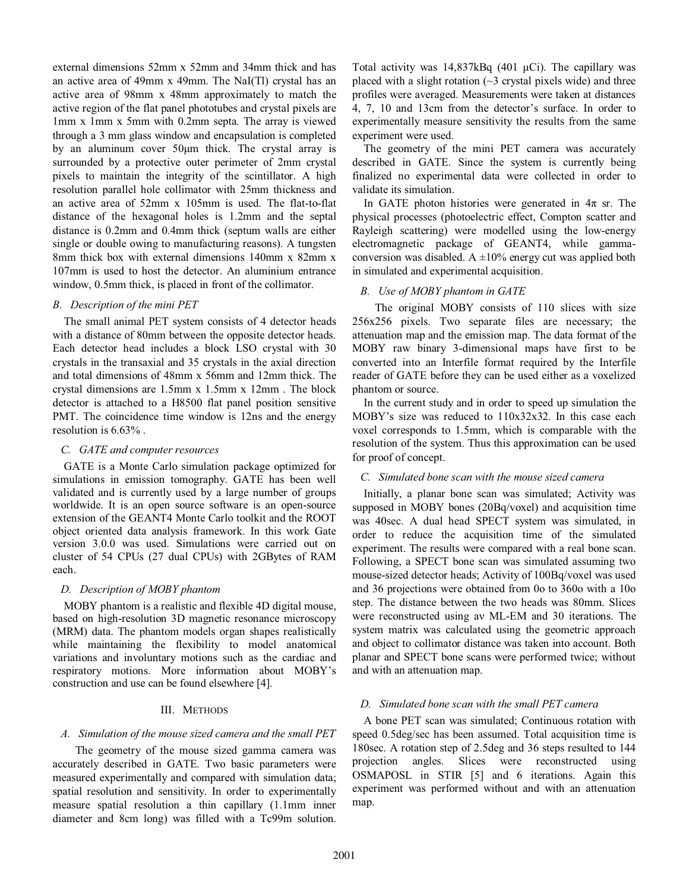external dimensions 52mm x 52mm and 34mm thick and has an active area of 49mm x 49mm. The NaI(Tl) crystal has an active area of 98mm x 48mm approximately to match the active region of the flat panel phototubes and crystal pixels are 1mm x 1mm x 5mm with 0.2mm septa. The array is viewed through a 3 mm glass window and encapsulation is completed by an aluminum cover 50μm thick. The crystal array is surrounded by a protective outer perimeter of 2mm crystal pixels to maintain the integrity of the scintillator. A high resolution parallel hole collimator with 25mm thickness and an active area of 52mm x 105mm is used. The flat-to-flat distance of the hexagonal holes is 1.2mm and the septal distance is 0.2mm and 0.4mm thick (septum walls are either single or double owing to manufacturing reasons). A tungsten 8mm thick box with external dimensions 140mm x 82mm x 107mm is used to host the detector. An aluminium entrance window, 0.5mm thick, is placed in front of the collimator.

## *B. Description of the mini PET*

The small animal PET system consists of 4 detector heads with a distance of 80mm between the opposite detector heads. Each detector head includes a block LSO crystal with 30 crystals in the transaxial and 35 crystals in the axial direction and total dimensions of 48mm x 56mm and 12mm thick. The crystal dimensions are 1.5mm x 1.5mm x 12mm . The block detector is attached to a H8500 flat panel position sensitive PMT. The coincidence time window is 12ns and the energy resolution is 6.63% .

# *C. GATE and computer resources*

GATE is a Monte Carlo simulation package optimized for simulations in emission tomography. GATE has been well validated and is currently used by a large number of groups worldwide. It is an open source software is an open-source extension of the GEANT4 Monte Carlo toolkit and the ROOT object oriented data analysis framework. In this work Gate version 3.0.0 was used. Simulations were carried out on cluster of 54 CPUs (27 dual CPUs) with 2GBytes of RAM each.

# *D. Description of MOBY phantom*

MOBY phantom is a realistic and flexible 4D digital mouse, based on high-resolution 3D magnetic resonance microscopy (MRM) data. The phantom models organ shapes realistically while maintaining the flexibility to model anatomical variations and involuntary motions such as the cardiac and respiratory motions. More information about MOBY's construction and use can be found elsewhere [4].

#### III. METHODS

#### *A. Simulation of the mouse sized camera and the small PET*

 The geometry of the mouse sized gamma camera was accurately described in GATE. Two basic parameters were measured experimentally and compared with simulation data; spatial resolution and sensitivity. In order to experimentally measure spatial resolution a thin capillary (1.1mm inner diameter and 8cm long) was filled with a Tc99m solution.

Total activity was 14,837kBq (401 μCi). The capillary was placed with a slight rotation  $(\sim$ 3 crystal pixels wide) and three profiles were averaged. Measurements were taken at distances 4, 7, 10 and 13cm from the detector's surface. In order to experimentally measure sensitivity the results from the same experiment were used.

The geometry of the mini PET camera was accurately described in GATE. Since the system is currently being finalized no experimental data were collected in order to validate its simulation.

In GATE photon histories were generated in  $4\pi$  sr. The physical processes (photoelectric effect, Compton scatter and Rayleigh scattering) were modelled using the low-energy electromagnetic package of GEANT4, while gammaconversion was disabled. A  $\pm 10\%$  energy cut was applied both in simulated and experimental acquisition.

# *B. Use of MOBY phantom in GATE*

 The original MOBY consists of 110 slices with size 256x256 pixels. Two separate files are necessary; the attenuation map and the emission map. The data format of the MOBY raw binary 3-dimensional maps have first to be converted into an Interfile format required by the Interfile reader of GATE before they can be used either as a voxelized phantom or source.

In the current study and in order to speed up simulation the MOBY's size was reduced to 110x32x32. In this case each voxel corresponds to 1.5mm, which is comparable with the resolution of the system. Thus this approximation can be used for proof of concept.

## *C. Simulated bone scan with the mouse sized camera*

Initially, a planar bone scan was simulated; Activity was supposed in MOBY bones (20Bq/voxel) and acquisition time was 40sec. A dual head SPECT system was simulated, in order to reduce the acquisition time of the simulated experiment. The results were compared with a real bone scan. Following, a SPECT bone scan was simulated assuming two mouse-sized detector heads; Activity of 100Bq/voxel was used and 36 projections were obtained from 0o to 360o with a 10o step. The distance between the two heads was 80mm. Slices were reconstructed using av ML-EM and 30 iterations. The system matrix was calculated using the geometric approach and object to collimator distance was taken into account. Both planar and SPECT bone scans were performed twice; without and with an attenuation map.

# *D. Simulated bone scan with the small PET camera*

A bone PET scan was simulated; Continuous rotation with speed 0.5deg/sec has been assumed. Total acquisition time is 180sec. A rotation step of 2.5deg and 36 steps resulted to 144 projection angles. Slices were reconstructed using OSMAPOSL in STIR [5] and 6 iterations. Again this experiment was performed without and with an attenuation map.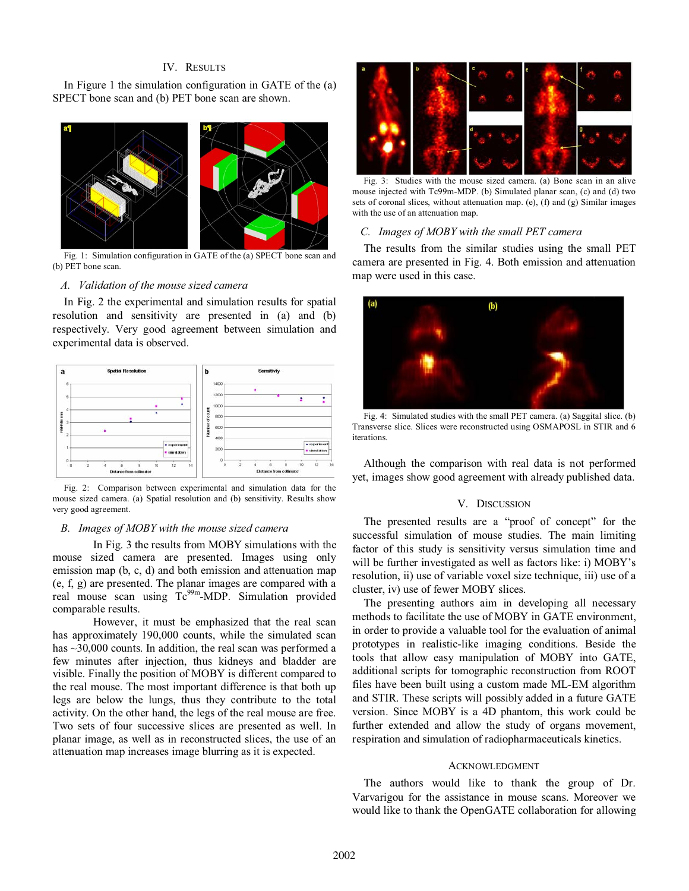#### IV. RESULTS

In Figure 1 the simulation configuration in GATE of the (a) SPECT bone scan and (b) PET bone scan are shown.



Fig. 1: Simulation configuration in GATE of the (a) SPECT bone scan and (b) PET bone scan.

## *A. Validation of the mouse sized camera*

In Fig. 2 the experimental and simulation results for spatial resolution and sensitivity are presented in (a) and (b) respectively. Very good agreement between simulation and experimental data is observed.



Fig. 2: Comparison between experimental and simulation data for the mouse sized camera. (a) Spatial resolution and (b) sensitivity. Results show very good agreement.

#### *B. Images of MOBY with the mouse sized camera*

In Fig. 3 the results from MOBY simulations with the mouse sized camera are presented. Images using only emission map (b, c, d) and both emission and attenuation map (e, f, g) are presented. The planar images are compared with a real mouse scan using  $Tc^{99m}$ -MDP. Simulation provided comparable results.

However, it must be emphasized that the real scan has approximately 190,000 counts, while the simulated scan has ~30,000 counts. In addition, the real scan was performed a few minutes after injection, thus kidneys and bladder are visible. Finally the position of MOBY is different compared to the real mouse. The most important difference is that both up legs are below the lungs, thus they contribute to the total activity. On the other hand, the legs of the real mouse are free. Two sets of four successive slices are presented as well. In planar image, as well as in reconstructed slices, the use of an attenuation map increases image blurring as it is expected.



Fig. 3: Studies with the mouse sized camera. (a) Bone scan in an alive mouse injected with Tc99m-MDP. (b) Simulated planar scan, (c) and (d) two sets of coronal slices, without attenuation map. (e), (f) and (g) Similar images with the use of an attenuation map.

### *C. Images of MOBY with the small PET camera*

The results from the similar studies using the small PET camera are presented in Fig. 4. Both emission and attenuation map were used in this case.



Fig. 4: Simulated studies with the small PET camera. (a) Saggital slice. (b) Transverse slice. Slices were reconstructed using OSMAPOSL in STIR and 6 iterations.

Although the comparison with real data is not performed yet, images show good agreement with already published data.

## V. DISCUSSION

The presented results are a "proof of concept" for the successful simulation of mouse studies. The main limiting factor of this study is sensitivity versus simulation time and will be further investigated as well as factors like: i) MOBY's resolution, ii) use of variable voxel size technique, iii) use of a cluster, iv) use of fewer MOBY slices.

The presenting authors aim in developing all necessary methods to facilitate the use of MOBY in GATE environment, in order to provide a valuable tool for the evaluation of animal prototypes in realistic-like imaging conditions. Beside the tools that allow easy manipulation of MOBY into GATE, additional scripts for tomographic reconstruction from ROOT files have been built using a custom made ML-EM algorithm and STIR. These scripts will possibly added in a future GATE version. Since MOBY is a 4D phantom, this work could be further extended and allow the study of organs movement, respiration and simulation of radiopharmaceuticals kinetics.

#### ACKNOWLEDGMENT

The authors would like to thank the group of Dr. Varvarigou for the assistance in mouse scans. Moreover we would like to thank the OpenGATE collaboration for allowing